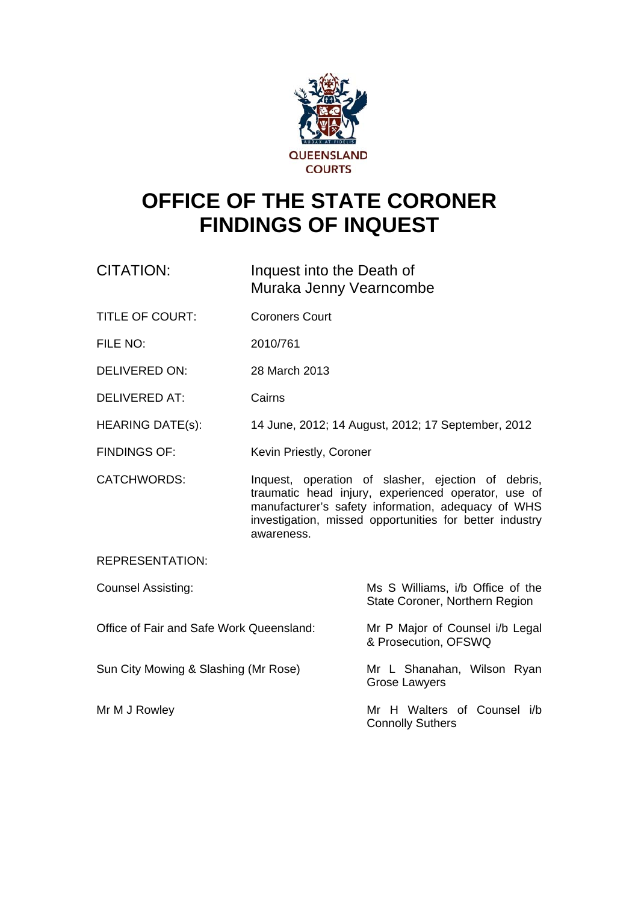

# **OFFICE OF THE STATE CORONER FINDINGS OF INQUEST**

- CITATION: Inquest into the Death of Muraka Jenny Vearncombe
- TITLE OF COURT: Coroners Court
- FILE NO: 2010/761
- DELIVERED ON: 28 March 2013
- DELIVERED AT: Cairns
- HEARING DATE(s): 14 June, 2012; 14 August, 2012; 17 September, 2012
- FINDINGS OF: Kevin Priestly, Coroner
- CATCHWORDS: Inquest, operation of slasher, ejection of debris, traumatic head injury, experienced operator, use of manufacturer's safety information, adequacy of WHS investigation, missed opportunities for better industry awareness.

REPRESENTATION:

| <b>Counsel Assisting:</b>                | Ms S Williams, i/b Office of the<br>State Coroner, Northern Region |
|------------------------------------------|--------------------------------------------------------------------|
| Office of Fair and Safe Work Queensland: | Mr P Major of Counsel i/b Legal<br>& Prosecution, OFSWQ            |
| Sun City Mowing & Slashing (Mr Rose)     | Mr L Shanahan, Wilson Ryan<br><b>Grose Lawyers</b>                 |
| Mr M J Rowley                            | Mr H Walters of Counsel i/b<br><b>Connolly Suthers</b>             |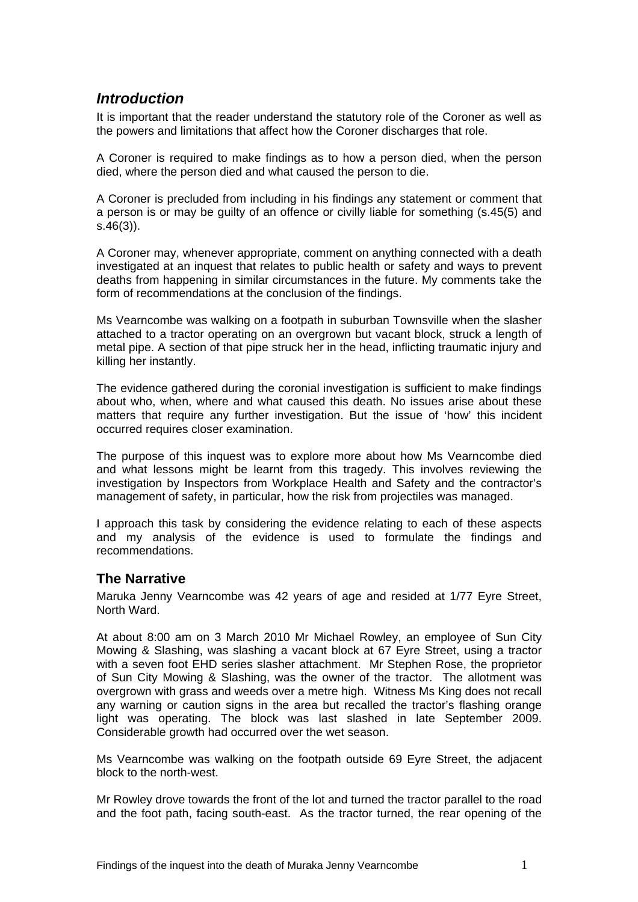## *Introduction*

It is important that the reader understand the statutory role of the Coroner as well as the powers and limitations that affect how the Coroner discharges that role.

A Coroner is required to make findings as to how a person died, when the person died, where the person died and what caused the person to die.

A Coroner is precluded from including in his findings any statement or comment that a person is or may be guilty of an offence or civilly liable for something (s.45(5) and s.46(3)).

A Coroner may, whenever appropriate, comment on anything connected with a death investigated at an inquest that relates to public health or safety and ways to prevent deaths from happening in similar circumstances in the future. My comments take the form of recommendations at the conclusion of the findings.

Ms Vearncombe was walking on a footpath in suburban Townsville when the slasher attached to a tractor operating on an overgrown but vacant block, struck a length of metal pipe. A section of that pipe struck her in the head, inflicting traumatic injury and killing her instantly.

The evidence gathered during the coronial investigation is sufficient to make findings about who, when, where and what caused this death. No issues arise about these matters that require any further investigation. But the issue of 'how' this incident occurred requires closer examination.

The purpose of this inquest was to explore more about how Ms Vearncombe died and what lessons might be learnt from this tragedy. This involves reviewing the investigation by Inspectors from Workplace Health and Safety and the contractor's management of safety, in particular, how the risk from projectiles was managed.

I approach this task by considering the evidence relating to each of these aspects and my analysis of the evidence is used to formulate the findings and recommendations.

### **The Narrative**

Maruka Jenny Vearncombe was 42 years of age and resided at 1/77 Eyre Street, North Ward.

At about 8:00 am on 3 March 2010 Mr Michael Rowley, an employee of Sun City Mowing & Slashing, was slashing a vacant block at 67 Eyre Street, using a tractor with a seven foot EHD series slasher attachment. Mr Stephen Rose, the proprietor of Sun City Mowing & Slashing, was the owner of the tractor. The allotment was overgrown with grass and weeds over a metre high. Witness Ms King does not recall any warning or caution signs in the area but recalled the tractor's flashing orange light was operating. The block was last slashed in late September 2009. Considerable growth had occurred over the wet season.

Ms Vearncombe was walking on the footpath outside 69 Eyre Street, the adjacent block to the north-west.

Mr Rowley drove towards the front of the lot and turned the tractor parallel to the road and the foot path, facing south-east. As the tractor turned, the rear opening of the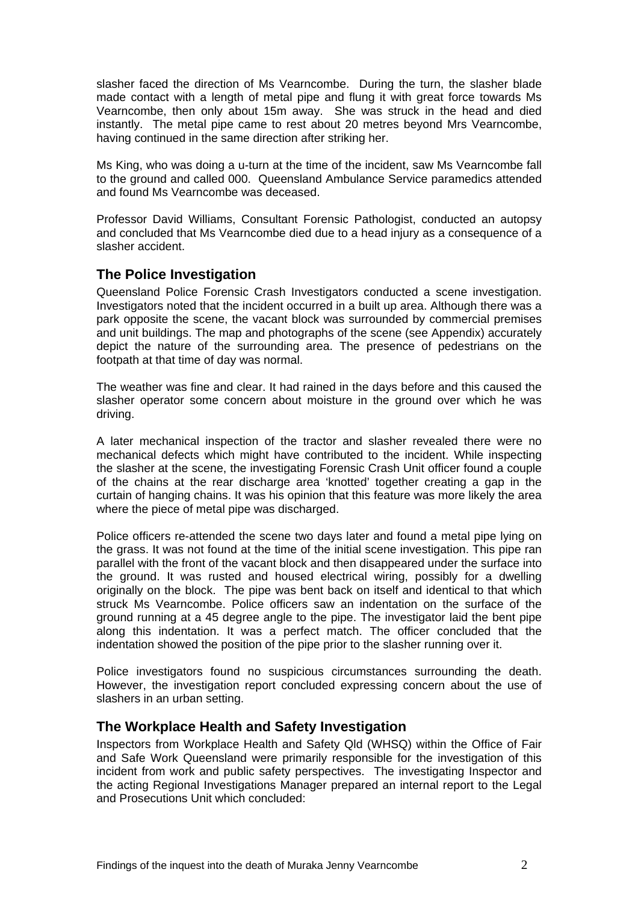slasher faced the direction of Ms Vearncombe. During the turn, the slasher blade made contact with a length of metal pipe and flung it with great force towards Ms Vearncombe, then only about 15m away. She was struck in the head and died instantly. The metal pipe came to rest about 20 metres beyond Mrs Vearncombe, having continued in the same direction after striking her.

Ms King, who was doing a u-turn at the time of the incident, saw Ms Vearncombe fall to the ground and called 000. Queensland Ambulance Service paramedics attended and found Ms Vearncombe was deceased.

Professor David Williams, Consultant Forensic Pathologist, conducted an autopsy and concluded that Ms Vearncombe died due to a head injury as a consequence of a slasher accident.

#### **The Police Investigation**

Queensland Police Forensic Crash Investigators conducted a scene investigation. Investigators noted that the incident occurred in a built up area. Although there was a park opposite the scene, the vacant block was surrounded by commercial premises and unit buildings. The map and photographs of the scene (see Appendix) accurately depict the nature of the surrounding area. The presence of pedestrians on the footpath at that time of day was normal.

The weather was fine and clear. It had rained in the days before and this caused the slasher operator some concern about moisture in the ground over which he was driving.

A later mechanical inspection of the tractor and slasher revealed there were no mechanical defects which might have contributed to the incident. While inspecting the slasher at the scene, the investigating Forensic Crash Unit officer found a couple of the chains at the rear discharge area 'knotted' together creating a gap in the curtain of hanging chains. It was his opinion that this feature was more likely the area where the piece of metal pipe was discharged.

Police officers re-attended the scene two days later and found a metal pipe lying on the grass. It was not found at the time of the initial scene investigation. This pipe ran parallel with the front of the vacant block and then disappeared under the surface into the ground. It was rusted and housed electrical wiring, possibly for a dwelling originally on the block. The pipe was bent back on itself and identical to that which struck Ms Vearncombe. Police officers saw an indentation on the surface of the ground running at a 45 degree angle to the pipe. The investigator laid the bent pipe along this indentation. It was a perfect match. The officer concluded that the indentation showed the position of the pipe prior to the slasher running over it.

Police investigators found no suspicious circumstances surrounding the death. However, the investigation report concluded expressing concern about the use of slashers in an urban setting.

#### **The Workplace Health and Safety Investigation**

Inspectors from Workplace Health and Safety Qld (WHSQ) within the Office of Fair and Safe Work Queensland were primarily responsible for the investigation of this incident from work and public safety perspectives. The investigating Inspector and the acting Regional Investigations Manager prepared an internal report to the Legal and Prosecutions Unit which concluded: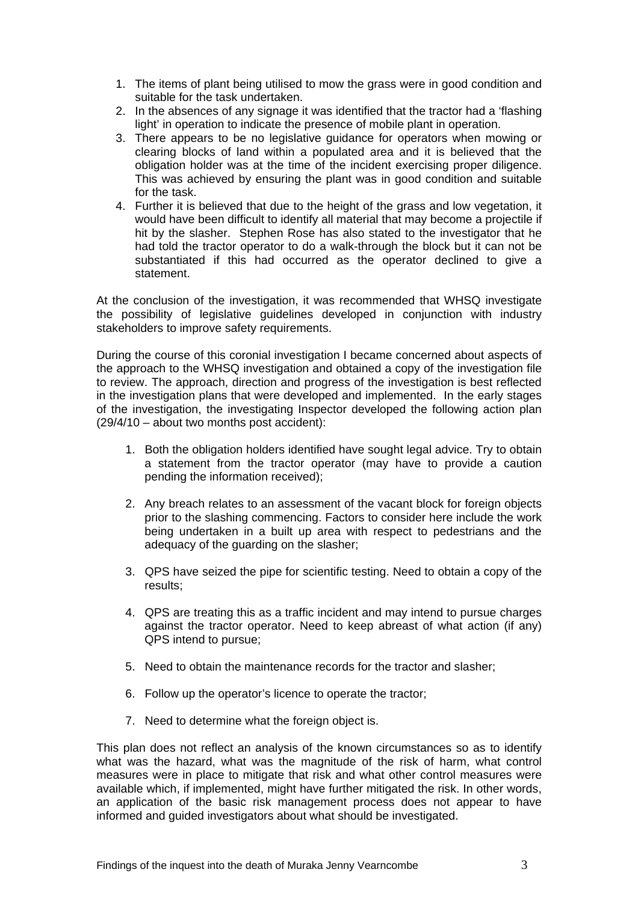- 1. The items of plant being utilised to mow the grass were in good condition and suitable for the task undertaken.
- 2. In the absences of any signage it was identified that the tractor had a 'flashing light' in operation to indicate the presence of mobile plant in operation.
- 3. There appears to be no legislative guidance for operators when mowing or clearing blocks of land within a populated area and it is believed that the obligation holder was at the time of the incident exercising proper diligence. This was achieved by ensuring the plant was in good condition and suitable for the task.
- 4. Further it is believed that due to the height of the grass and low vegetation, it would have been difficult to identify all material that may become a projectile if hit by the slasher. Stephen Rose has also stated to the investigator that he had told the tractor operator to do a walk-through the block but it can not be substantiated if this had occurred as the operator declined to give a statement.

At the conclusion of the investigation, it was recommended that WHSQ investigate the possibility of legislative guidelines developed in conjunction with industry stakeholders to improve safety requirements.

During the course of this coronial investigation I became concerned about aspects of the approach to the WHSQ investigation and obtained a copy of the investigation file to review. The approach, direction and progress of the investigation is best reflected in the investigation plans that were developed and implemented. In the early stages of the investigation, the investigating Inspector developed the following action plan (29/4/10 – about two months post accident):

- 1. Both the obligation holders identified have sought legal advice. Try to obtain a statement from the tractor operator (may have to provide a caution pending the information received);
- 2. Any breach relates to an assessment of the vacant block for foreign objects prior to the slashing commencing. Factors to consider here include the work being undertaken in a built up area with respect to pedestrians and the adequacy of the guarding on the slasher;
- 3. QPS have seized the pipe for scientific testing. Need to obtain a copy of the results;
- 4. QPS are treating this as a traffic incident and may intend to pursue charges against the tractor operator. Need to keep abreast of what action (if any) QPS intend to pursue;
- 5. Need to obtain the maintenance records for the tractor and slasher;
- 6. Follow up the operator's licence to operate the tractor;
- 7. Need to determine what the foreign object is.

This plan does not reflect an analysis of the known circumstances so as to identify what was the hazard, what was the magnitude of the risk of harm, what control measures were in place to mitigate that risk and what other control measures were available which, if implemented, might have further mitigated the risk. In other words, an application of the basic risk management process does not appear to have informed and guided investigators about what should be investigated.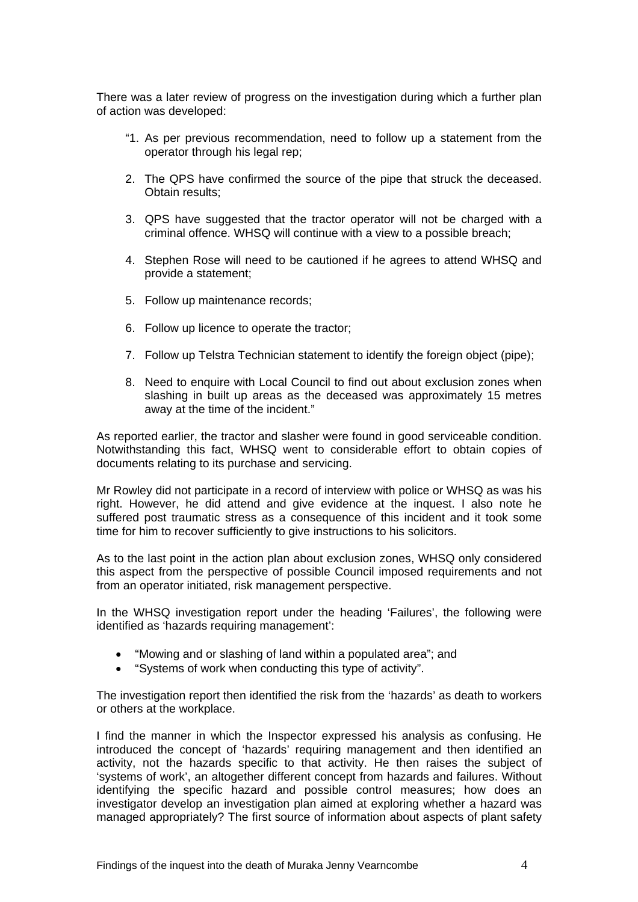There was a later review of progress on the investigation during which a further plan of action was developed:

- "1. As per previous recommendation, need to follow up a statement from the operator through his legal rep;
- 2. The QPS have confirmed the source of the pipe that struck the deceased. Obtain results;
- 3. QPS have suggested that the tractor operator will not be charged with a criminal offence. WHSQ will continue with a view to a possible breach;
- 4. Stephen Rose will need to be cautioned if he agrees to attend WHSQ and provide a statement;
- 5. Follow up maintenance records;
- 6. Follow up licence to operate the tractor;
- 7. Follow up Telstra Technician statement to identify the foreign object (pipe);
- 8. Need to enquire with Local Council to find out about exclusion zones when slashing in built up areas as the deceased was approximately 15 metres away at the time of the incident."

As reported earlier, the tractor and slasher were found in good serviceable condition. Notwithstanding this fact, WHSQ went to considerable effort to obtain copies of documents relating to its purchase and servicing.

Mr Rowley did not participate in a record of interview with police or WHSQ as was his right. However, he did attend and give evidence at the inquest. I also note he suffered post traumatic stress as a consequence of this incident and it took some time for him to recover sufficiently to give instructions to his solicitors.

As to the last point in the action plan about exclusion zones, WHSQ only considered this aspect from the perspective of possible Council imposed requirements and not from an operator initiated, risk management perspective.

In the WHSQ investigation report under the heading 'Failures', the following were identified as 'hazards requiring management':

- "Mowing and or slashing of land within a populated area"; and
- "Systems of work when conducting this type of activity".

The investigation report then identified the risk from the 'hazards' as death to workers or others at the workplace.

I find the manner in which the Inspector expressed his analysis as confusing. He introduced the concept of 'hazards' requiring management and then identified an activity, not the hazards specific to that activity. He then raises the subject of 'systems of work', an altogether different concept from hazards and failures. Without identifying the specific hazard and possible control measures; how does an investigator develop an investigation plan aimed at exploring whether a hazard was managed appropriately? The first source of information about aspects of plant safety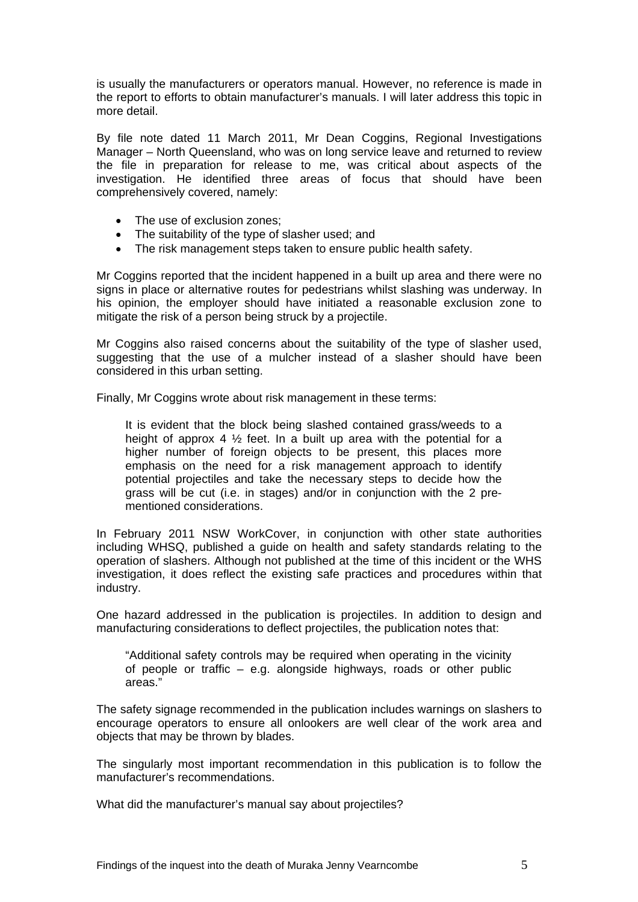is usually the manufacturers or operators manual. However, no reference is made in the report to efforts to obtain manufacturer's manuals. I will later address this topic in more detail.

By file note dated 11 March 2011, Mr Dean Coggins, Regional Investigations Manager – North Queensland, who was on long service leave and returned to review the file in preparation for release to me, was critical about aspects of the investigation. He identified three areas of focus that should have been comprehensively covered, namely:

- The use of exclusion zones;
- The suitability of the type of slasher used; and
- The risk management steps taken to ensure public health safety.

Mr Coggins reported that the incident happened in a built up area and there were no signs in place or alternative routes for pedestrians whilst slashing was underway. In his opinion, the employer should have initiated a reasonable exclusion zone to mitigate the risk of a person being struck by a projectile.

Mr Coggins also raised concerns about the suitability of the type of slasher used, suggesting that the use of a mulcher instead of a slasher should have been considered in this urban setting.

Finally, Mr Coggins wrote about risk management in these terms:

It is evident that the block being slashed contained grass/weeds to a height of approx 4  $\frac{1}{2}$  feet. In a built up area with the potential for a higher number of foreign objects to be present, this places more emphasis on the need for a risk management approach to identify potential projectiles and take the necessary steps to decide how the grass will be cut (i.e. in stages) and/or in conjunction with the 2 prementioned considerations.

In February 2011 NSW WorkCover, in conjunction with other state authorities including WHSQ, published a guide on health and safety standards relating to the operation of slashers. Although not published at the time of this incident or the WHS investigation, it does reflect the existing safe practices and procedures within that industry.

One hazard addressed in the publication is projectiles. In addition to design and manufacturing considerations to deflect projectiles, the publication notes that:

"Additional safety controls may be required when operating in the vicinity of people or traffic – e.g. alongside highways, roads or other public areas."

The safety signage recommended in the publication includes warnings on slashers to encourage operators to ensure all onlookers are well clear of the work area and objects that may be thrown by blades.

The singularly most important recommendation in this publication is to follow the manufacturer's recommendations.

What did the manufacturer's manual say about projectiles?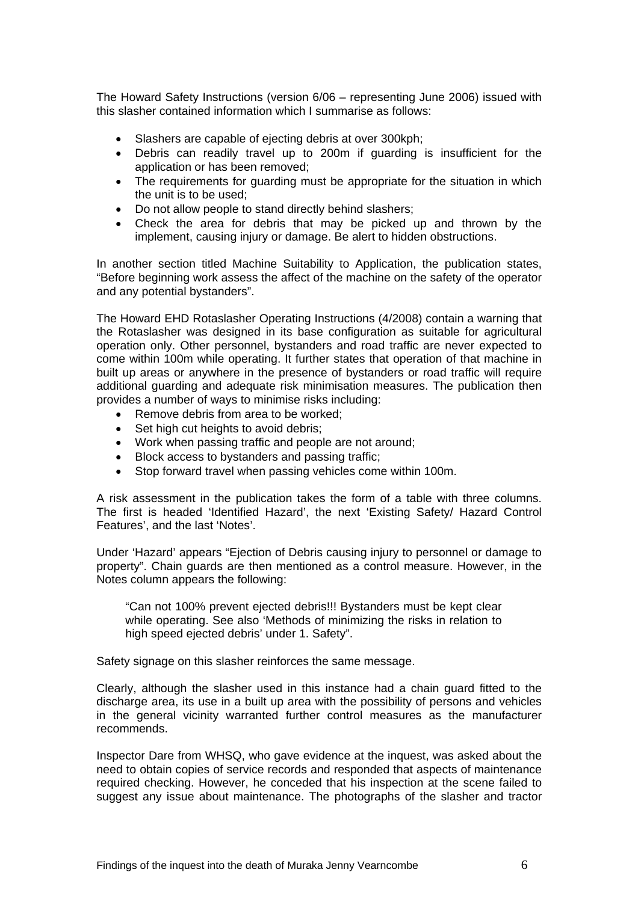The Howard Safety Instructions (version 6/06 – representing June 2006) issued with this slasher contained information which I summarise as follows:

- Slashers are capable of ejecting debris at over 300kph;
- Debris can readily travel up to 200m if guarding is insufficient for the application or has been removed;
- The requirements for guarding must be appropriate for the situation in which the unit is to be used;
- Do not allow people to stand directly behind slashers;
- Check the area for debris that may be picked up and thrown by the implement, causing injury or damage. Be alert to hidden obstructions.

In another section titled Machine Suitability to Application, the publication states, "Before beginning work assess the affect of the machine on the safety of the operator and any potential bystanders".

The Howard EHD Rotaslasher Operating Instructions (4/2008) contain a warning that the Rotaslasher was designed in its base configuration as suitable for agricultural operation only. Other personnel, bystanders and road traffic are never expected to come within 100m while operating. It further states that operation of that machine in built up areas or anywhere in the presence of bystanders or road traffic will require additional guarding and adequate risk minimisation measures. The publication then provides a number of ways to minimise risks including:

- Remove debris from area to be worked;
- Set high cut heights to avoid debris:
- Work when passing traffic and people are not around;
- Block access to bystanders and passing traffic;
- Stop forward travel when passing vehicles come within 100m.

A risk assessment in the publication takes the form of a table with three columns. The first is headed 'Identified Hazard', the next 'Existing Safety/ Hazard Control Features', and the last 'Notes'.

Under 'Hazard' appears "Ejection of Debris causing injury to personnel or damage to property". Chain guards are then mentioned as a control measure. However, in the Notes column appears the following:

"Can not 100% prevent ejected debris!!! Bystanders must be kept clear while operating. See also 'Methods of minimizing the risks in relation to high speed ejected debris' under 1. Safety".

Safety signage on this slasher reinforces the same message.

Clearly, although the slasher used in this instance had a chain guard fitted to the discharge area, its use in a built up area with the possibility of persons and vehicles in the general vicinity warranted further control measures as the manufacturer recommends.

Inspector Dare from WHSQ, who gave evidence at the inquest, was asked about the need to obtain copies of service records and responded that aspects of maintenance required checking. However, he conceded that his inspection at the scene failed to suggest any issue about maintenance. The photographs of the slasher and tractor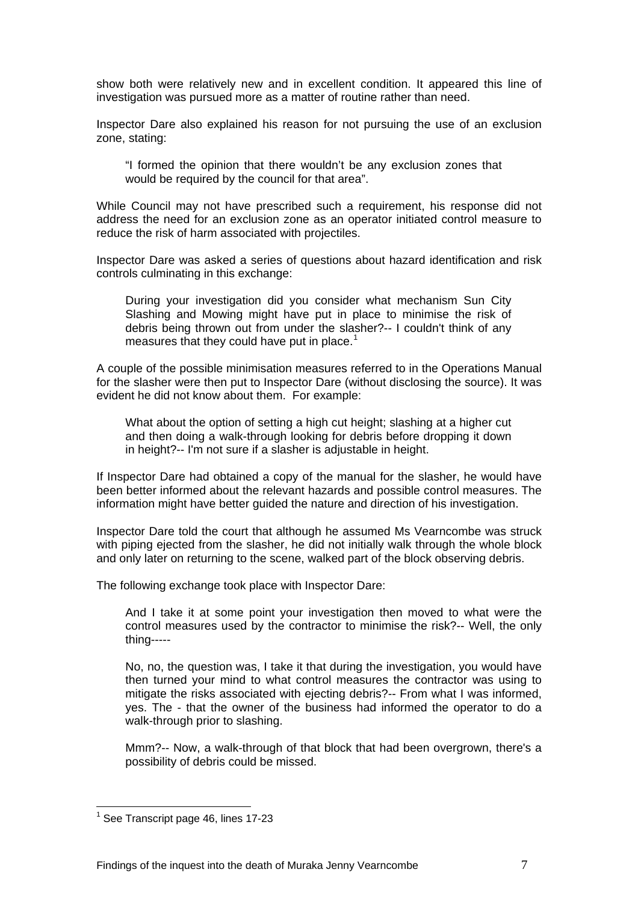show both were relatively new and in excellent condition. It appeared this line of investigation was pursued more as a matter of routine rather than need.

Inspector Dare also explained his reason for not pursuing the use of an exclusion zone, stating:

"I formed the opinion that there wouldn't be any exclusion zones that would be required by the council for that area".

While Council may not have prescribed such a requirement, his response did not address the need for an exclusion zone as an operator initiated control measure to reduce the risk of harm associated with projectiles.

Inspector Dare was asked a series of questions about hazard identification and risk controls culminating in this exchange:

During your investigation did you consider what mechanism Sun City Slashing and Mowing might have put in place to minimise the risk of debris being thrown out from under the slasher?-- I couldn't think of any measures that they could have put in place.<sup>[1](#page-7-0)</sup>

A couple of the possible minimisation measures referred to in the Operations Manual for the slasher were then put to Inspector Dare (without disclosing the source). It was evident he did not know about them. For example:

What about the option of setting a high cut height; slashing at a higher cut and then doing a walk-through looking for debris before dropping it down in height?-- I'm not sure if a slasher is adjustable in height.

If Inspector Dare had obtained a copy of the manual for the slasher, he would have been better informed about the relevant hazards and possible control measures. The information might have better guided the nature and direction of his investigation.

Inspector Dare told the court that although he assumed Ms Vearncombe was struck with piping ejected from the slasher, he did not initially walk through the whole block and only later on returning to the scene, walked part of the block observing debris.

The following exchange took place with Inspector Dare:

And I take it at some point your investigation then moved to what were the control measures used by the contractor to minimise the risk?-- Well, the only thing-----

No, no, the question was, I take it that during the investigation, you would have then turned your mind to what control measures the contractor was using to mitigate the risks associated with ejecting debris?-- From what I was informed, yes. The - that the owner of the business had informed the operator to do a walk-through prior to slashing.

Mmm?-- Now, a walk-through of that block that had been overgrown, there's a possibility of debris could be missed.

 $\overline{a}$ 

<span id="page-7-0"></span><sup>&</sup>lt;sup>1</sup> See Transcript page 46, lines 17-23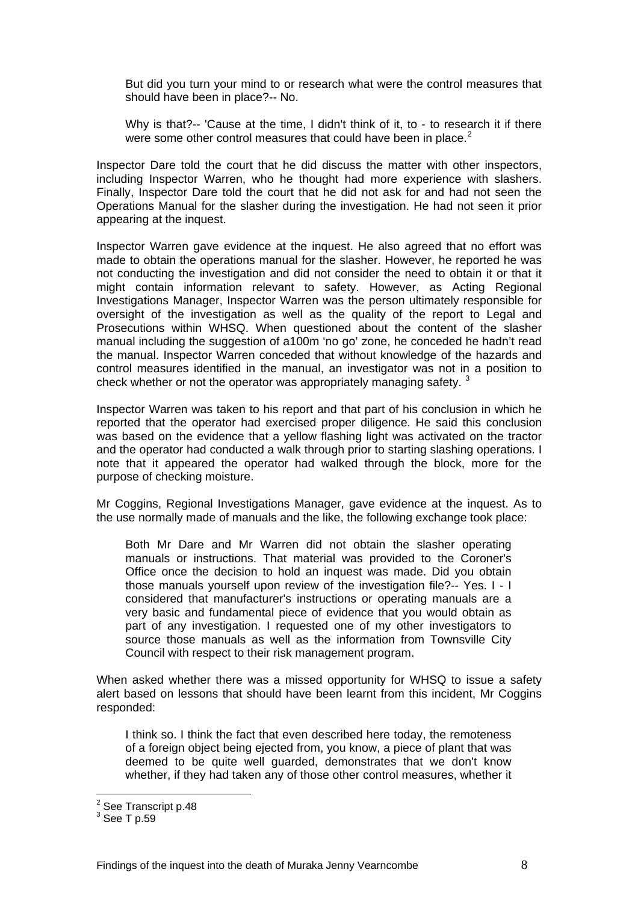But did you turn your mind to or research what were the control measures that should have been in place?-- No.

Why is that?-- 'Cause at the time, I didn't think of it, to - to research it if there were some other control measures that could have been in place.<sup>[2](#page-8-0)</sup>

Inspector Dare told the court that he did discuss the matter with other inspectors, including Inspector Warren, who he thought had more experience with slashers. Finally, Inspector Dare told the court that he did not ask for and had not seen the Operations Manual for the slasher during the investigation. He had not seen it prior appearing at the inquest.

Inspector Warren gave evidence at the inquest. He also agreed that no effort was made to obtain the operations manual for the slasher. However, he reported he was not conducting the investigation and did not consider the need to obtain it or that it might contain information relevant to safety. However, as Acting Regional Investigations Manager, Inspector Warren was the person ultimately responsible for oversight of the investigation as well as the quality of the report to Legal and Prosecutions within WHSQ. When questioned about the content of the slasher manual including the suggestion of a100m 'no go' zone, he conceded he hadn't read the manual. Inspector Warren conceded that without knowledge of the hazards and control measures identified in the manual, an investigator was not in a position to check whether or not the operator was appropriately managing safety.  $3$ 

Inspector Warren was taken to his report and that part of his conclusion in which he reported that the operator had exercised proper diligence. He said this conclusion was based on the evidence that a yellow flashing light was activated on the tractor and the operator had conducted a walk through prior to starting slashing operations. I note that it appeared the operator had walked through the block, more for the purpose of checking moisture.

Mr Coggins, Regional Investigations Manager, gave evidence at the inquest. As to the use normally made of manuals and the like, the following exchange took place:

Both Mr Dare and Mr Warren did not obtain the slasher operating manuals or instructions. That material was provided to the Coroner's Office once the decision to hold an inquest was made. Did you obtain those manuals yourself upon review of the investigation file?-- Yes. I - I considered that manufacturer's instructions or operating manuals are a very basic and fundamental piece of evidence that you would obtain as part of any investigation. I requested one of my other investigators to source those manuals as well as the information from Townsville City Council with respect to their risk management program.

When asked whether there was a missed opportunity for WHSQ to issue a safety alert based on lessons that should have been learnt from this incident, Mr Coggins responded:

I think so. I think the fact that even described here today, the remoteness of a foreign object being ejected from, you know, a piece of plant that was deemed to be quite well guarded, demonstrates that we don't know whether, if they had taken any of those other control measures, whether it

 $\overline{a}$ 

<span id="page-8-0"></span><sup>&</sup>lt;sup>2</sup> See Transcript p.48

<span id="page-8-1"></span> $^3$  See T p.59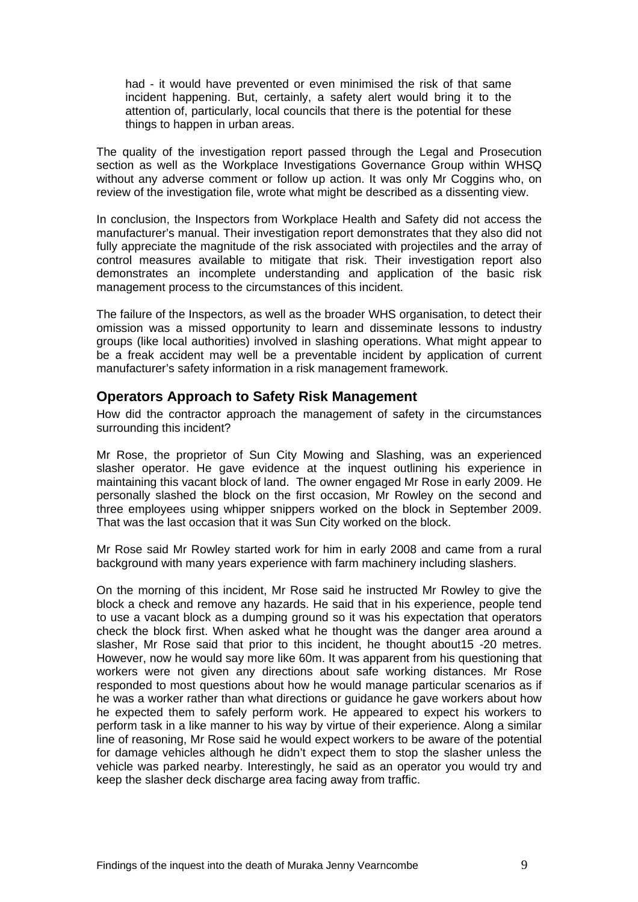had - it would have prevented or even minimised the risk of that same incident happening. But, certainly, a safety alert would bring it to the attention of, particularly, local councils that there is the potential for these things to happen in urban areas.

The quality of the investigation report passed through the Legal and Prosecution section as well as the Workplace Investigations Governance Group within WHSQ without any adverse comment or follow up action. It was only Mr Coggins who, on review of the investigation file, wrote what might be described as a dissenting view.

In conclusion, the Inspectors from Workplace Health and Safety did not access the manufacturer's manual. Their investigation report demonstrates that they also did not fully appreciate the magnitude of the risk associated with projectiles and the array of control measures available to mitigate that risk. Their investigation report also demonstrates an incomplete understanding and application of the basic risk management process to the circumstances of this incident.

The failure of the Inspectors, as well as the broader WHS organisation, to detect their omission was a missed opportunity to learn and disseminate lessons to industry groups (like local authorities) involved in slashing operations. What might appear to be a freak accident may well be a preventable incident by application of current manufacturer's safety information in a risk management framework.

#### **Operators Approach to Safety Risk Management**

How did the contractor approach the management of safety in the circumstances surrounding this incident?

Mr Rose, the proprietor of Sun City Mowing and Slashing, was an experienced slasher operator. He gave evidence at the inquest outlining his experience in maintaining this vacant block of land. The owner engaged Mr Rose in early 2009. He personally slashed the block on the first occasion, Mr Rowley on the second and three employees using whipper snippers worked on the block in September 2009. That was the last occasion that it was Sun City worked on the block.

Mr Rose said Mr Rowley started work for him in early 2008 and came from a rural background with many years experience with farm machinery including slashers.

On the morning of this incident, Mr Rose said he instructed Mr Rowley to give the block a check and remove any hazards. He said that in his experience, people tend to use a vacant block as a dumping ground so it was his expectation that operators check the block first. When asked what he thought was the danger area around a slasher, Mr Rose said that prior to this incident, he thought about15 -20 metres. However, now he would say more like 60m. It was apparent from his questioning that workers were not given any directions about safe working distances. Mr Rose responded to most questions about how he would manage particular scenarios as if he was a worker rather than what directions or guidance he gave workers about how he expected them to safely perform work. He appeared to expect his workers to perform task in a like manner to his way by virtue of their experience. Along a similar line of reasoning, Mr Rose said he would expect workers to be aware of the potential for damage vehicles although he didn't expect them to stop the slasher unless the vehicle was parked nearby. Interestingly, he said as an operator you would try and keep the slasher deck discharge area facing away from traffic.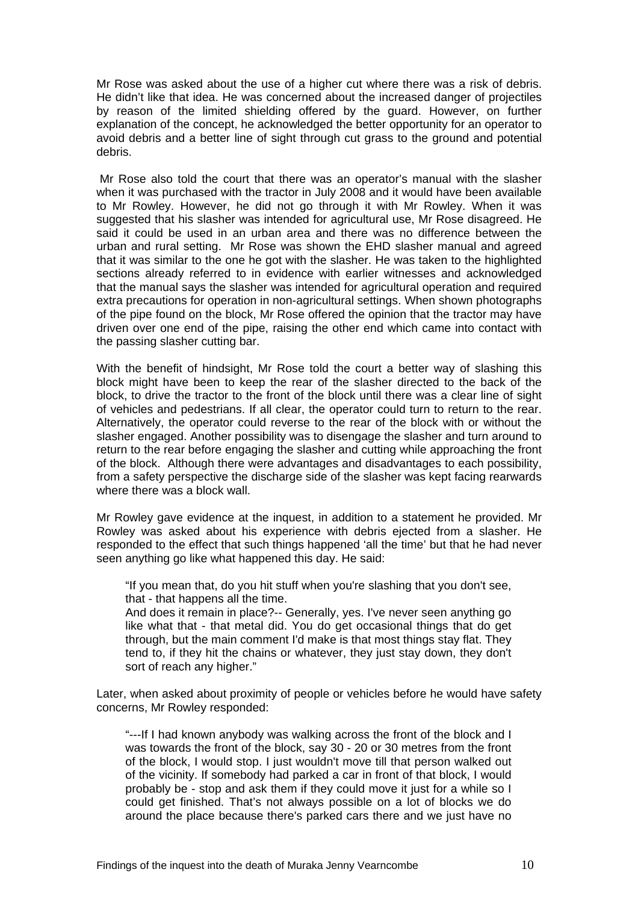Mr Rose was asked about the use of a higher cut where there was a risk of debris. He didn't like that idea. He was concerned about the increased danger of projectiles by reason of the limited shielding offered by the guard. However, on further explanation of the concept, he acknowledged the better opportunity for an operator to avoid debris and a better line of sight through cut grass to the ground and potential debris.

 Mr Rose also told the court that there was an operator's manual with the slasher when it was purchased with the tractor in July 2008 and it would have been available to Mr Rowley. However, he did not go through it with Mr Rowley. When it was suggested that his slasher was intended for agricultural use, Mr Rose disagreed. He said it could be used in an urban area and there was no difference between the urban and rural setting. Mr Rose was shown the EHD slasher manual and agreed that it was similar to the one he got with the slasher. He was taken to the highlighted sections already referred to in evidence with earlier witnesses and acknowledged that the manual says the slasher was intended for agricultural operation and required extra precautions for operation in non-agricultural settings. When shown photographs of the pipe found on the block, Mr Rose offered the opinion that the tractor may have driven over one end of the pipe, raising the other end which came into contact with the passing slasher cutting bar.

With the benefit of hindsight, Mr Rose told the court a better way of slashing this block might have been to keep the rear of the slasher directed to the back of the block, to drive the tractor to the front of the block until there was a clear line of sight of vehicles and pedestrians. If all clear, the operator could turn to return to the rear. Alternatively, the operator could reverse to the rear of the block with or without the slasher engaged. Another possibility was to disengage the slasher and turn around to return to the rear before engaging the slasher and cutting while approaching the front of the block. Although there were advantages and disadvantages to each possibility, from a safety perspective the discharge side of the slasher was kept facing rearwards where there was a block wall.

Mr Rowley gave evidence at the inquest, in addition to a statement he provided. Mr Rowley was asked about his experience with debris ejected from a slasher. He responded to the effect that such things happened 'all the time' but that he had never seen anything go like what happened this day. He said:

"If you mean that, do you hit stuff when you're slashing that you don't see, that - that happens all the time.

And does it remain in place?-- Generally, yes. I've never seen anything go like what that - that metal did. You do get occasional things that do get through, but the main comment I'd make is that most things stay flat. They tend to, if they hit the chains or whatever, they just stay down, they don't sort of reach any higher."

Later, when asked about proximity of people or vehicles before he would have safety concerns, Mr Rowley responded:

"---If I had known anybody was walking across the front of the block and I was towards the front of the block, say 30 - 20 or 30 metres from the front of the block, I would stop. I just wouldn't move till that person walked out of the vicinity. If somebody had parked a car in front of that block, I would probably be - stop and ask them if they could move it just for a while so I could get finished. That's not always possible on a lot of blocks we do around the place because there's parked cars there and we just have no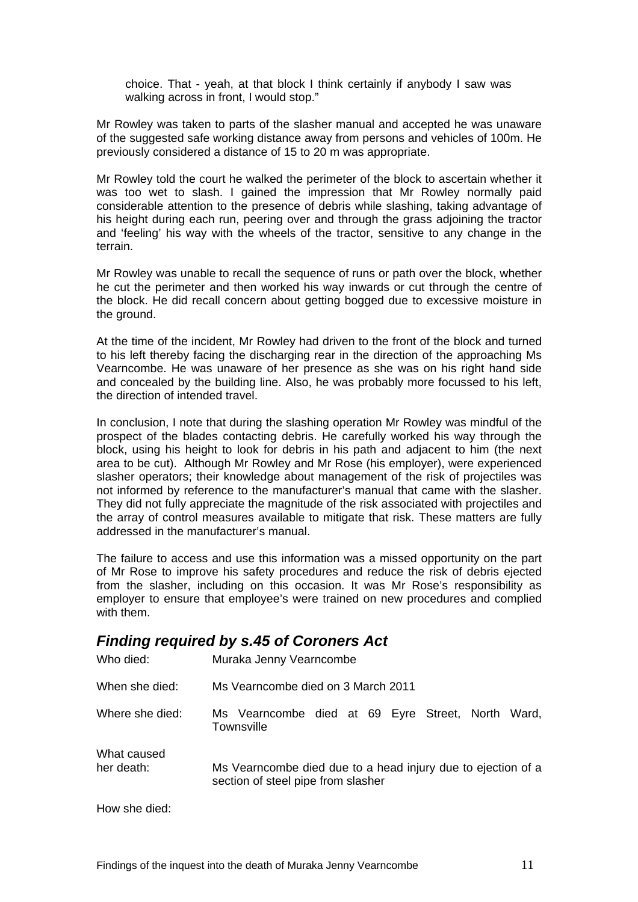choice. That - yeah, at that block I think certainly if anybody I saw was walking across in front, I would stop."

Mr Rowley was taken to parts of the slasher manual and accepted he was unaware of the suggested safe working distance away from persons and vehicles of 100m. He previously considered a distance of 15 to 20 m was appropriate.

Mr Rowley told the court he walked the perimeter of the block to ascertain whether it was too wet to slash. I gained the impression that Mr Rowley normally paid considerable attention to the presence of debris while slashing, taking advantage of his height during each run, peering over and through the grass adjoining the tractor and 'feeling' his way with the wheels of the tractor, sensitive to any change in the terrain.

Mr Rowley was unable to recall the sequence of runs or path over the block, whether he cut the perimeter and then worked his way inwards or cut through the centre of the block. He did recall concern about getting bogged due to excessive moisture in the ground.

At the time of the incident, Mr Rowley had driven to the front of the block and turned to his left thereby facing the discharging rear in the direction of the approaching Ms Vearncombe. He was unaware of her presence as she was on his right hand side and concealed by the building line. Also, he was probably more focussed to his left, the direction of intended travel.

In conclusion, I note that during the slashing operation Mr Rowley was mindful of the prospect of the blades contacting debris. He carefully worked his way through the block, using his height to look for debris in his path and adjacent to him (the next area to be cut). Although Mr Rowley and Mr Rose (his employer), were experienced slasher operators; their knowledge about management of the risk of projectiles was not informed by reference to the manufacturer's manual that came with the slasher. They did not fully appreciate the magnitude of the risk associated with projectiles and the array of control measures available to mitigate that risk. These matters are fully addressed in the manufacturer's manual.

The failure to access and use this information was a missed opportunity on the part of Mr Rose to improve his safety procedures and reduce the risk of debris ejected from the slasher, including on this occasion. It was Mr Rose's responsibility as employer to ensure that employee's were trained on new procedures and complied with them.

#### *Finding required by s.45 of Coroners Act*  Who died: Muraka Jenny Vearncombe

| vvno gleg.                | <b>Muraka Jenny Veamcompe</b>                                                                      |
|---------------------------|----------------------------------------------------------------------------------------------------|
| When she died:            | Ms Vearncombe died on 3 March 2011                                                                 |
| Where she died:           | Ms Vearncombe died at 69 Eyre Street, North Ward,<br>Townsville                                    |
| What caused<br>her death: | Ms Vearncombe died due to a head injury due to ejection of a<br>section of steel pipe from slasher |
| How she died:             |                                                                                                    |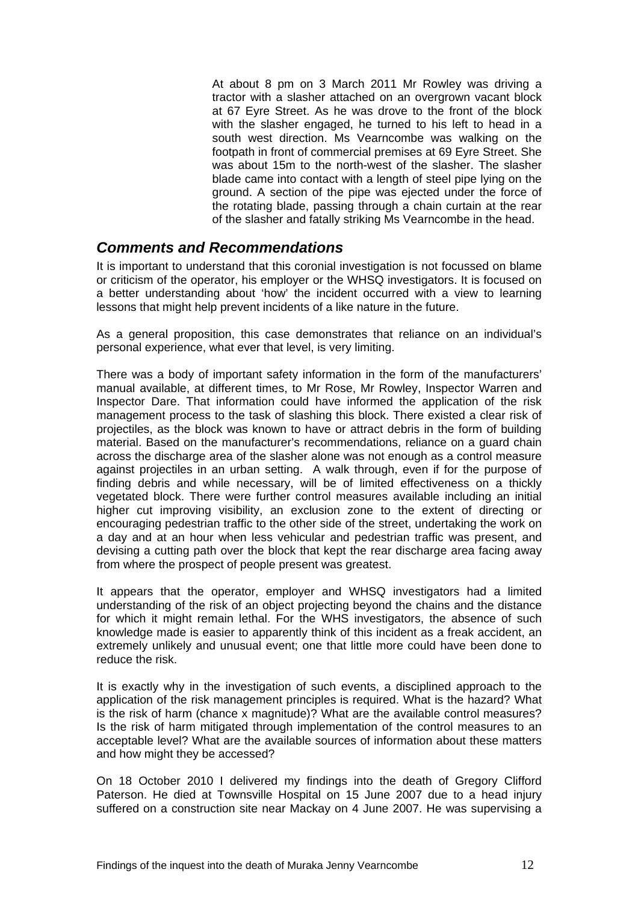At about 8 pm on 3 March 2011 Mr Rowley was driving a tractor with a slasher attached on an overgrown vacant block at 67 Eyre Street. As he was drove to the front of the block with the slasher engaged, he turned to his left to head in a south west direction. Ms Vearncombe was walking on the footpath in front of commercial premises at 69 Eyre Street. She was about 15m to the north-west of the slasher. The slasher blade came into contact with a length of steel pipe lying on the ground. A section of the pipe was ejected under the force of the rotating blade, passing through a chain curtain at the rear of the slasher and fatally striking Ms Vearncombe in the head.

#### *Comments and Recommendations*

It is important to understand that this coronial investigation is not focussed on blame or criticism of the operator, his employer or the WHSQ investigators. It is focused on a better understanding about 'how' the incident occurred with a view to learning lessons that might help prevent incidents of a like nature in the future.

As a general proposition, this case demonstrates that reliance on an individual's personal experience, what ever that level, is very limiting.

There was a body of important safety information in the form of the manufacturers' manual available, at different times, to Mr Rose, Mr Rowley, Inspector Warren and Inspector Dare. That information could have informed the application of the risk management process to the task of slashing this block. There existed a clear risk of projectiles, as the block was known to have or attract debris in the form of building material. Based on the manufacturer's recommendations, reliance on a guard chain across the discharge area of the slasher alone was not enough as a control measure against projectiles in an urban setting. A walk through, even if for the purpose of finding debris and while necessary, will be of limited effectiveness on a thickly vegetated block. There were further control measures available including an initial higher cut improving visibility, an exclusion zone to the extent of directing or encouraging pedestrian traffic to the other side of the street, undertaking the work on a day and at an hour when less vehicular and pedestrian traffic was present, and devising a cutting path over the block that kept the rear discharge area facing away from where the prospect of people present was greatest.

It appears that the operator, employer and WHSQ investigators had a limited understanding of the risk of an object projecting beyond the chains and the distance for which it might remain lethal. For the WHS investigators, the absence of such knowledge made is easier to apparently think of this incident as a freak accident, an extremely unlikely and unusual event; one that little more could have been done to reduce the risk.

It is exactly why in the investigation of such events, a disciplined approach to the application of the risk management principles is required. What is the hazard? What is the risk of harm (chance x magnitude)? What are the available control measures? Is the risk of harm mitigated through implementation of the control measures to an acceptable level? What are the available sources of information about these matters and how might they be accessed?

On 18 October 2010 I delivered my findings into the death of Gregory Clifford Paterson. He died at Townsville Hospital on 15 June 2007 due to a head injury suffered on a construction site near Mackay on 4 June 2007. He was supervising a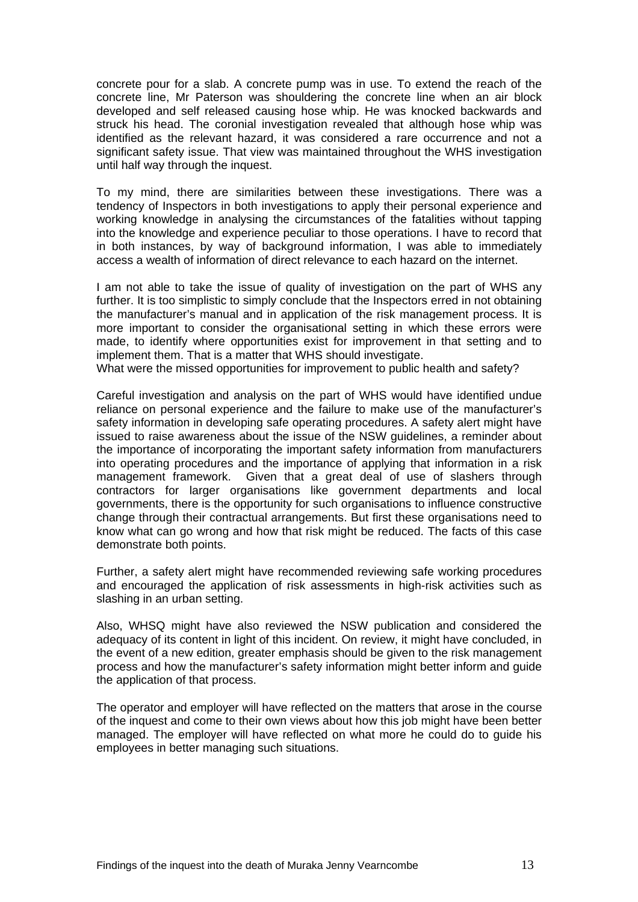concrete pour for a slab. A concrete pump was in use. To extend the reach of the concrete line, Mr Paterson was shouldering the concrete line when an air block developed and self released causing hose whip. He was knocked backwards and struck his head. The coronial investigation revealed that although hose whip was identified as the relevant hazard, it was considered a rare occurrence and not a significant safety issue. That view was maintained throughout the WHS investigation until half way through the inquest.

To my mind, there are similarities between these investigations. There was a tendency of Inspectors in both investigations to apply their personal experience and working knowledge in analysing the circumstances of the fatalities without tapping into the knowledge and experience peculiar to those operations. I have to record that in both instances, by way of background information, I was able to immediately access a wealth of information of direct relevance to each hazard on the internet.

I am not able to take the issue of quality of investigation on the part of WHS any further. It is too simplistic to simply conclude that the Inspectors erred in not obtaining the manufacturer's manual and in application of the risk management process. It is more important to consider the organisational setting in which these errors were made, to identify where opportunities exist for improvement in that setting and to implement them. That is a matter that WHS should investigate.

What were the missed opportunities for improvement to public health and safety?

Careful investigation and analysis on the part of WHS would have identified undue reliance on personal experience and the failure to make use of the manufacturer's safety information in developing safe operating procedures. A safety alert might have issued to raise awareness about the issue of the NSW guidelines, a reminder about the importance of incorporating the important safety information from manufacturers into operating procedures and the importance of applying that information in a risk management framework. Given that a great deal of use of slashers through contractors for larger organisations like government departments and local governments, there is the opportunity for such organisations to influence constructive change through their contractual arrangements. But first these organisations need to know what can go wrong and how that risk might be reduced. The facts of this case demonstrate both points.

Further, a safety alert might have recommended reviewing safe working procedures and encouraged the application of risk assessments in high-risk activities such as slashing in an urban setting.

Also, WHSQ might have also reviewed the NSW publication and considered the adequacy of its content in light of this incident. On review, it might have concluded, in the event of a new edition, greater emphasis should be given to the risk management process and how the manufacturer's safety information might better inform and guide the application of that process.

The operator and employer will have reflected on the matters that arose in the course of the inquest and come to their own views about how this job might have been better managed. The employer will have reflected on what more he could do to guide his employees in better managing such situations.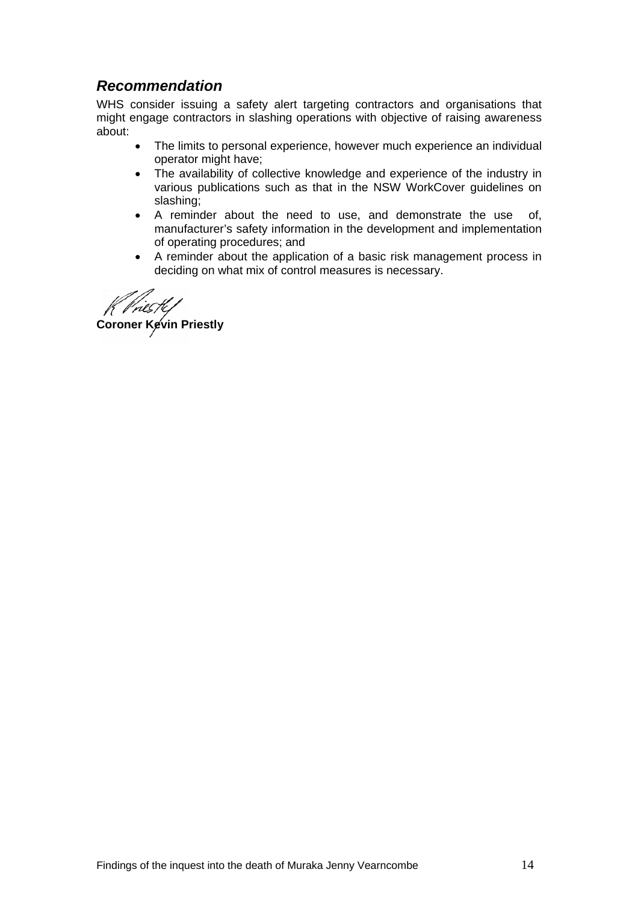## *Recommendation*

WHS consider issuing a safety alert targeting contractors and organisations that might engage contractors in slashing operations with objective of raising awareness about:

- The limits to personal experience, however much experience an individual operator might have;
- The availability of collective knowledge and experience of the industry in various publications such as that in the NSW WorkCover guidelines on slashing;
- A reminder about the need to use, and demonstrate the use of, manufacturer's safety information in the development and implementation of operating procedures; and
- A reminder about the application of a basic risk management process in deciding on what mix of control measures is necessary.

**Coroner Kevin Priestly**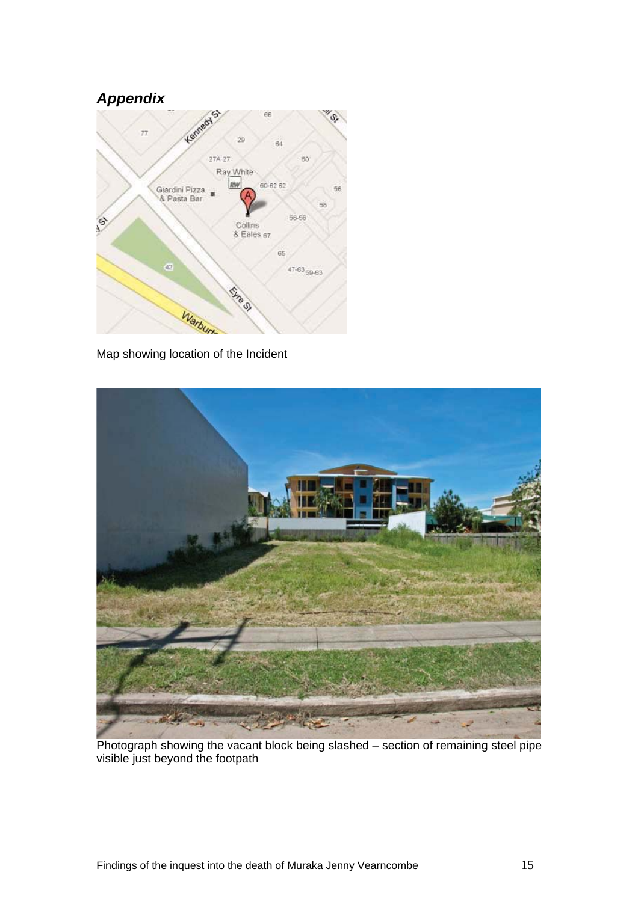## *Appendix*



Map showing location of the Incident



Photograph showing the vacant block being slashed – section of remaining steel pipe visible just beyond the footpath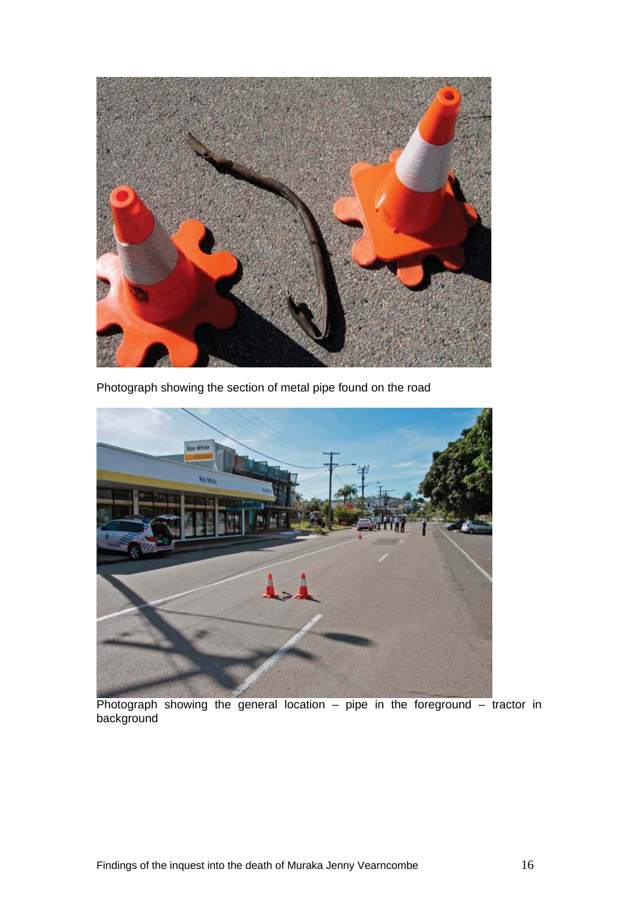

Photograph showing the section of metal pipe found on the road



Photograph showing the general location – pipe in the foreground – tractor in background